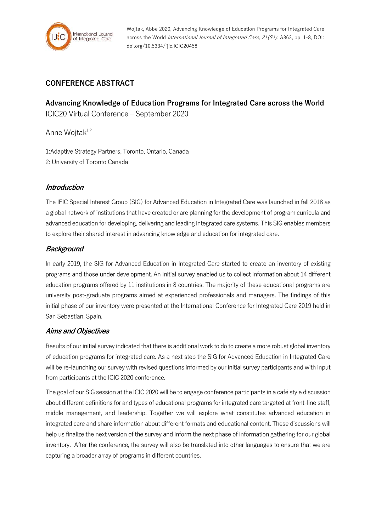

Wojtak, Abbe 2020, Advancing Knowledge of Education Programs for Integrated Care across the World International Journal of Integrated Care, 21(S1): A363, pp. 1-8, DOI: doi.org/10.5334/ijic.ICIC20458

## **CONFERENCE ABSTRACT**

**Advancing Knowledge of Education Programs for Integrated Care across the World** ICIC20 Virtual Conference – September 2020

Anne Wojtak<sup>1,2</sup>

1:Adaptive Strategy Partners, Toronto, Ontario, Canada 2: University of Toronto Canada

### **Introduction**

The IFIC Special Interest Group (SIG) for Advanced Education in Integrated Care was launched in fall 2018 as a global network of institutions that have created or are planning for the development of program curricula and advanced education for developing, delivering and leading integrated care systems. This SIG enables members to explore their shared interest in advancing knowledge and education for integrated care.

### **Background**

In early 2019, the SIG for Advanced Education in Integrated Care started to create an inventory of existing programs and those under development. An initial survey enabled us to collect information about 14 different education programs offered by 11 institutions in 8 countries. The majority of these educational programs are university post-graduate programs aimed at experienced professionals and managers. The findings of this initial phase of our inventory were presented at the International Conference for Integrated Care 2019 held in San Sebastian, Spain.

#### **Aims and Objectives**

Results of our initial survey indicated that there is additional work to do to create a more robust global inventory of education programs for integrated care. As a next step the SIG for Advanced Education in Integrated Care will be re-launching our survey with revised questions informed by our initial survey participants and with input from participants at the ICIC 2020 conference.

The goal of our SIG session at the ICIC 2020 will be to engage conference participants in a café style discussion about different definitions for and types of educational programs for integrated care targeted at front-line staff, middle management, and leadership. Together we will explore what constitutes advanced education in integrated care and share information about different formats and educational content. These discussions will help us finalize the next version of the survey and inform the next phase of information gathering for our global inventory. After the conference, the survey will also be translated into other languages to ensure that we are capturing a broader array of programs in different countries.